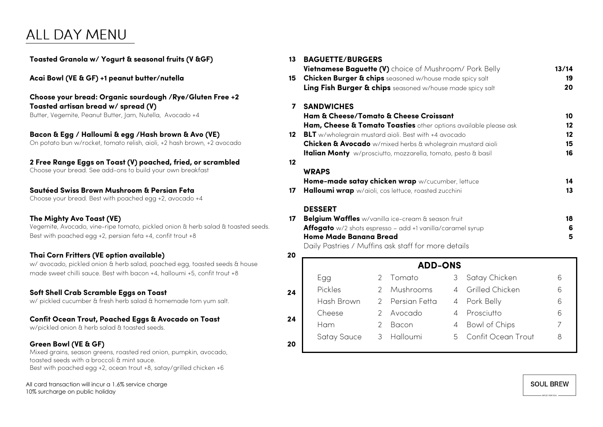## ALL DAY MENU

| Toasted Granola w/ Yogurt & seasonal fruits (V &GF)                                                                                                                         | 13                                                                                                             | <b>BAGUETTE/BURGERS</b><br><b>Vietnamese Baguette (</b>                               |                |  |  |
|-----------------------------------------------------------------------------------------------------------------------------------------------------------------------------|----------------------------------------------------------------------------------------------------------------|---------------------------------------------------------------------------------------|----------------|--|--|
| Acai Bowl (VE & GF) +1 peanut butter/nutella                                                                                                                                | 15                                                                                                             | Chicken Burger & chips<br>Ling Fish Burger & chi                                      |                |  |  |
| Choose your bread: Organic sourdough / Rye/Gluten Free +2                                                                                                                   |                                                                                                                |                                                                                       |                |  |  |
| Toasted artisan bread w/ spread (V)                                                                                                                                         | $\overline{ }$                                                                                                 | <b>SANDWICHES</b>                                                                     |                |  |  |
| Butter, Vegemite, Peanut Butter, Jam, Nutella, Avocado +4                                                                                                                   |                                                                                                                | Ham & Cheese/Tomato<br>Ham, Cheese & Tomato                                           |                |  |  |
| Bacon & Egg / Halloumi & egg /Hash brown & Avo (VE)<br>On potato bun w/rocket, tomato relish, aioli, +2 hash brown, +2 avocado                                              |                                                                                                                | 12 BLT w/wholegrain mustar<br>Chicken & Avocado w/r<br><b>Italian Monty w/prosciu</b> |                |  |  |
| 2 Free Range Eggs on Toast (V) poached, fried, or scrambled<br>Choose your bread. See add-ons to build your own breakfast                                                   | 12                                                                                                             | <b>WRAPS</b>                                                                          |                |  |  |
| Sautéed Swiss Brown Mushroom & Persian Feta<br>Choose your bread. Best with poached egg +2, avocado +4                                                                      | 17                                                                                                             | Home-made satay chio<br>Halloumi wrap w/aioli, a                                      |                |  |  |
| The Mighty Avo Toast (VE)<br>Vegemite, Avocado, vine-ripe tomato, pickled onion & herb salad & toasted seeds.<br>Best with poached egg +2, persian feta +4, confit trout +8 | <b>DESSERT</b><br><b>Belgium Waffles</b> w/vani<br>17<br>Affogato w/2 shots espre<br><b>Home Made Banana B</b> |                                                                                       |                |  |  |
| Thai Corn Fritters (VE option available)                                                                                                                                    | 20                                                                                                             | Daily Pastries / Muffins                                                              |                |  |  |
| w/ avocado, pickled onion & herb salad, poached egg, toasted seeds & house<br>made sweet chilli sauce. Best with bacon +4, halloumi +5, confit trout +8                     |                                                                                                                |                                                                                       |                |  |  |
|                                                                                                                                                                             |                                                                                                                | Egg                                                                                   | $\mathbf{Z}$   |  |  |
| Soft Shell Crab Scramble Eggs on Toast                                                                                                                                      | 24                                                                                                             | Pickles                                                                               | $\overline{c}$ |  |  |
| w/ pickled cucumber & fresh herb salad & homemade tom yum salt.                                                                                                             |                                                                                                                | Hash Brown                                                                            | $\overline{c}$ |  |  |
|                                                                                                                                                                             |                                                                                                                | Cheese                                                                                | $\overline{2}$ |  |  |
| Confit Ocean Trout, Poached Eggs & Avocado on Toast                                                                                                                         | 24                                                                                                             |                                                                                       | $\sim$         |  |  |

w/pickled onion & herb salad & toasted seeds.

### **Green Bowl (VE & GF) 20**

Mixed grains, season greens, roasted red onion, pumpkin, avocado, toasted seeds with a broccoli & mint sauce. Best with poached egg +2, ocean trout +8, satay/grilled chicken +6

All card transaction will incur a 1.6% service charge 10% surcharge on public holiday

| Toasted Granola w/ Yogurt & seasonal fruits (V &GF)                              | 13 <sup>7</sup> | <b>BAGUETTE/BURGERS</b>                                              |  |                 |   |                 |       |
|----------------------------------------------------------------------------------|-----------------|----------------------------------------------------------------------|--|-----------------|---|-----------------|-------|
|                                                                                  |                 | Vietnamese Baguette (V) choice of Mushroom/ Pork Belly               |  |                 |   |                 | 13/14 |
| Acai Bowl (VE & GF) +1 peanut butter/nutella                                     | 15              | <b>Chicken Burger &amp; chips</b> seasoned w/house made spicy salt   |  |                 |   |                 |       |
|                                                                                  |                 | Ling Fish Burger & chips seasoned w/house made spicy salt            |  |                 |   |                 | 20    |
| Choose your bread: Organic sourdough /Rye/Gluten Free +2                         |                 |                                                                      |  |                 |   |                 |       |
| Toasted artisan bread w/ spread (V)                                              |                 | <b>SANDWICHES</b>                                                    |  |                 |   |                 |       |
| Butter, Vegemite, Peanut Butter, Jam, Nutella, Avocado +4                        |                 | Ham & Cheese/Tomato & Cheese Croissant                               |  |                 |   |                 | 10    |
|                                                                                  |                 | Ham, Cheese & Tomato Toasties other options available please ask     |  |                 |   |                 | 12    |
| Bacon & Egg / Halloumi & egg /Hash brown & Avo (VE)                              |                 | <b>12 BLT</b> w/wholegrain mustard aioli. Best with +4 avocado       |  | 12              |   |                 |       |
| On potato bun w/rocket, tomato relish, aioli, +2 hash brown, +2 avocado          |                 | Chicken & Avocado w/mixed herbs & wholegrain mustard aioli           |  |                 |   |                 | 15    |
|                                                                                  |                 | <b>Italian Monty</b> w/prosciutto, mozzarella, tomato, pesto & basil |  |                 |   |                 | 16    |
| 2 Free Range Eggs on Toast (V) poached, fried, or scrambled                      | 12              |                                                                      |  |                 |   |                 |       |
| Choose your bread. See add-ons to build your own breakfast                       |                 | <b>WRAPS</b>                                                         |  |                 |   |                 |       |
|                                                                                  |                 | Home-made satay chicken wrap w/cucumber, lettuce                     |  |                 |   |                 | 14    |
| Sautéed Swiss Brown Mushroom & Persian Feta                                      | 17 <sup>2</sup> | Halloumi wrap w/aioli, cos lettuce, roasted zucchini                 |  |                 |   |                 | 13    |
| Choose your bread. Best with poached egg +2, avocado +4                          |                 |                                                                      |  |                 |   |                 |       |
|                                                                                  |                 | <b>DESSERT</b>                                                       |  |                 |   |                 |       |
| The Mighty Avo Toast (VE)                                                        | 17              | Belgium Waffles w/vanilla ice-cream & season fruit                   |  |                 |   |                 | 18    |
| Vegemite, Avocado, vine-ripe tomato, pickled onion & herb salad & toasted seeds. |                 | Affogato w/2 shots espresso - add +1 vanilla/caramel syrup           |  |                 |   |                 | 6     |
| Best with poached egg +2, persian feta +4, confit trout +8                       |                 | <b>Home Made Banana Bread</b>                                        |  |                 |   |                 | 5     |
|                                                                                  |                 | Daily Pastries / Muffins ask staff for more details                  |  |                 |   |                 |       |
| Thai Corn Fritters (VE option available)                                         | 20              |                                                                      |  |                 |   |                 |       |
| w/ avocado, pickled onion & herb salad, poached egg, toasted seeds & house       |                 | <b>ADD-ONS</b>                                                       |  |                 |   |                 |       |
| made sweet chilli sauce. Best with bacon +4, halloumi +5, confit trout +8        |                 | Egg                                                                  |  | Tomato          |   | 3 Satay Chicken | 6     |
|                                                                                  |                 | Pickles                                                              |  | Mushrooms       |   | Grilled Chicken | 6     |
| Soft Shell Crab Scramble Eggs on Toast                                           | 24              |                                                                      |  |                 |   |                 |       |
| w/ pickled cucumber & fresh herb salad & homemade tom yum salt.                  |                 | Hash Brown                                                           |  | 2 Persian Fetta | 4 | Pork Belly      | 6     |
|                                                                                  |                 | Cheese                                                               |  | 2 Avocado       |   | 4 Prosciutto    | 6     |

Ham 2 Bacon 4 Bowl of Chips 7 Satay Sauce 3 Halloumi 5 Confit Ocean Trout 8